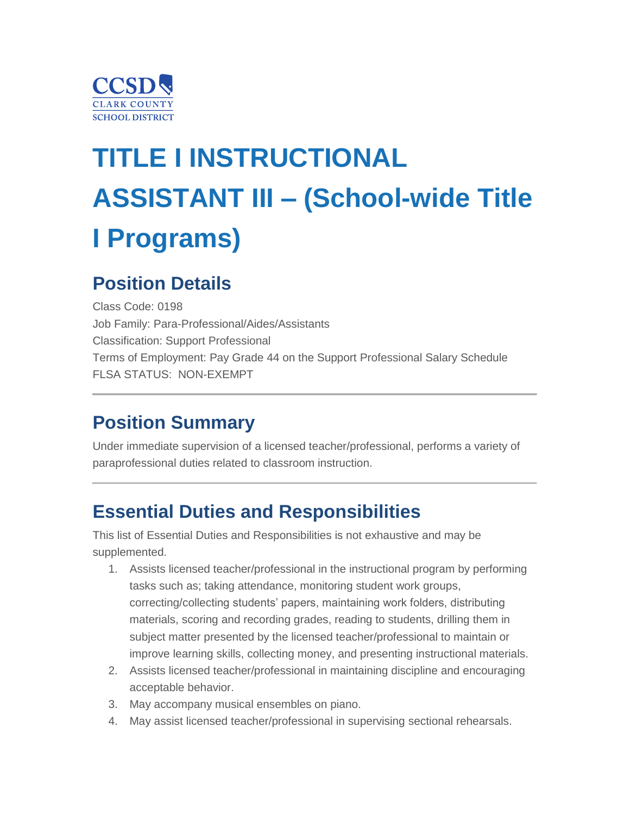

# **TITLE I INSTRUCTIONAL ASSISTANT III – (School-wide Title I Programs)**

### **Position Details**

Class Code: 0198 Job Family: Para-Professional/Aides/Assistants Classification: Support Professional Terms of Employment: Pay Grade 44 on the Support Professional Salary Schedule FLSA STATUS: NON-EXEMPT

### **Position Summary**

Under immediate supervision of a licensed teacher/professional, performs a variety of paraprofessional duties related to classroom instruction.

### **Essential Duties and Responsibilities**

This list of Essential Duties and Responsibilities is not exhaustive and may be supplemented.

- 1. Assists licensed teacher/professional in the instructional program by performing tasks such as; taking attendance, monitoring student work groups, correcting/collecting students' papers, maintaining work folders, distributing materials, scoring and recording grades, reading to students, drilling them in subject matter presented by the licensed teacher/professional to maintain or improve learning skills, collecting money, and presenting instructional materials.
- 2. Assists licensed teacher/professional in maintaining discipline and encouraging acceptable behavior.
- 3. May accompany musical ensembles on piano.
- 4. May assist licensed teacher/professional in supervising sectional rehearsals.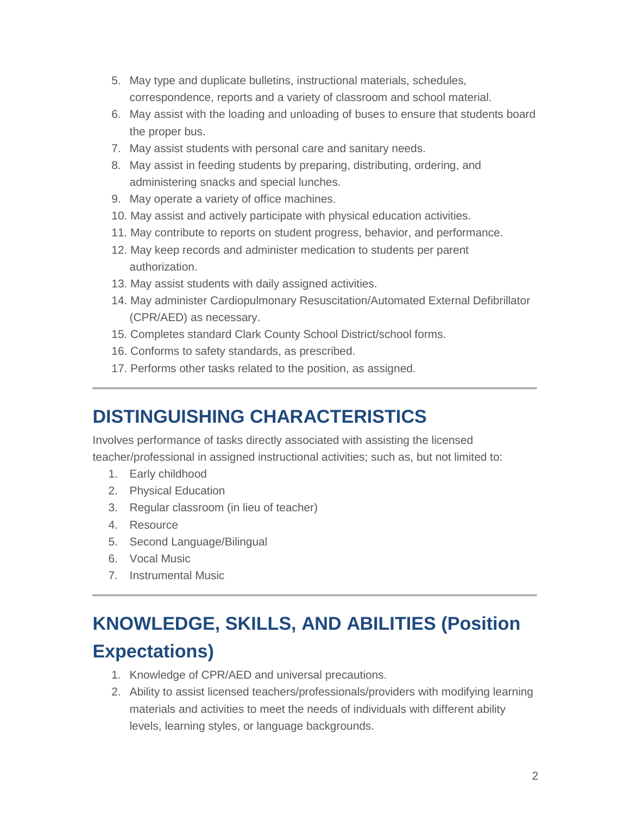- 5. May type and duplicate bulletins, instructional materials, schedules, correspondence, reports and a variety of classroom and school material.
- 6. May assist with the loading and unloading of buses to ensure that students board the proper bus.
- 7. May assist students with personal care and sanitary needs.
- 8. May assist in feeding students by preparing, distributing, ordering, and administering snacks and special lunches.
- 9. May operate a variety of office machines.
- 10. May assist and actively participate with physical education activities.
- 11. May contribute to reports on student progress, behavior, and performance.
- 12. May keep records and administer medication to students per parent authorization.
- 13. May assist students with daily assigned activities.
- 14. May administer Cardiopulmonary Resuscitation/Automated External Defibrillator (CPR/AED) as necessary.
- 15. Completes standard Clark County School District/school forms.
- 16. Conforms to safety standards, as prescribed.
- 17. Performs other tasks related to the position, as assigned.

### **DISTINGUISHING CHARACTERISTICS**

Involves performance of tasks directly associated with assisting the licensed teacher/professional in assigned instructional activities; such as, but not limited to:

- 1. Early childhood
- 2. Physical Education
- 3. Regular classroom (in lieu of teacher)
- 4. Resource
- 5. Second Language/Bilingual
- 6. Vocal Music
- 7. Instrumental Music

# **KNOWLEDGE, SKILLS, AND ABILITIES (Position Expectations)**

- 1. Knowledge of CPR/AED and universal precautions.
- 2. Ability to assist licensed teachers/professionals/providers with modifying learning materials and activities to meet the needs of individuals with different ability levels, learning styles, or language backgrounds.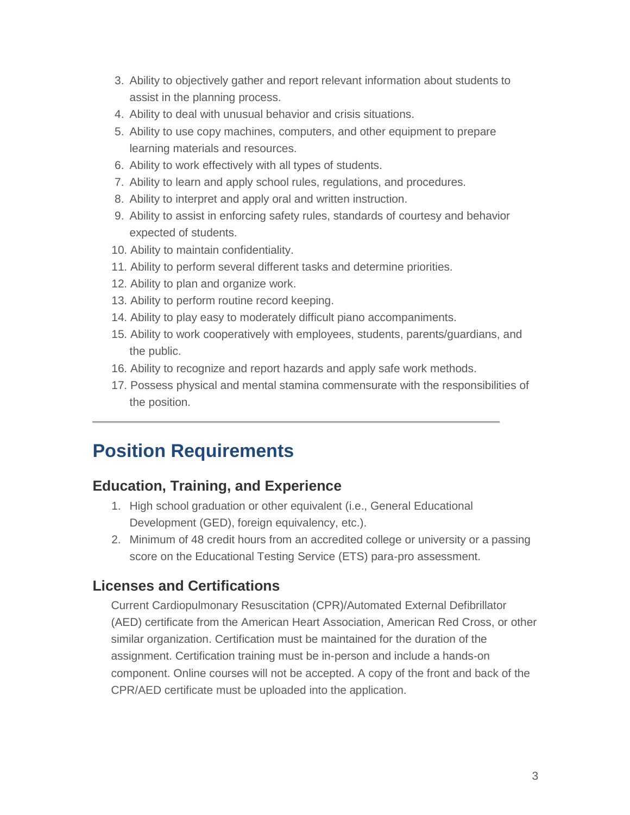- 3. Ability to objectively gather and report relevant information about students to assist in the planning process.
- 4. Ability to deal with unusual behavior and crisis situations.
- 5. Ability to use copy machines, computers, and other equipment to prepare learning materials and resources.
- 6. Ability to work effectively with all types of students.
- 7. Ability to learn and apply school rules, regulations, and procedures.
- 8. Ability to interpret and apply oral and written instruction.
- 9. Ability to assist in enforcing safety rules, standards of courtesy and behavior expected of students.
- 10. Ability to maintain confidentiality.
- 11. Ability to perform several different tasks and determine priorities.
- 12. Ability to plan and organize work.
- 13. Ability to perform routine record keeping.
- 14. Ability to play easy to moderately difficult piano accompaniments.
- 15. Ability to work cooperatively with employees, students, parents/guardians, and the public.
- 16. Ability to recognize and report hazards and apply safe work methods.
- 17. Possess physical and mental stamina commensurate with the responsibilities of the position.

### **Position Requirements**

#### **Education, Training, and Experience**

- 1. High school graduation or other equivalent (i.e., General Educational Development (GED), foreign equivalency, etc.).
- 2. Minimum of 48 credit hours from an accredited college or university or a passing score on the Educational Testing Service (ETS) para-pro assessment.

#### **Licenses and Certifications**

Current Cardiopulmonary Resuscitation (CPR)/Automated External Defibrillator (AED) certificate from the American Heart Association, American Red Cross, or other similar organization. Certification must be maintained for the duration of the assignment. Certification training must be in-person and include a hands-on component. Online courses will not be accepted. A copy of the front and back of the CPR/AED certificate must be uploaded into the application.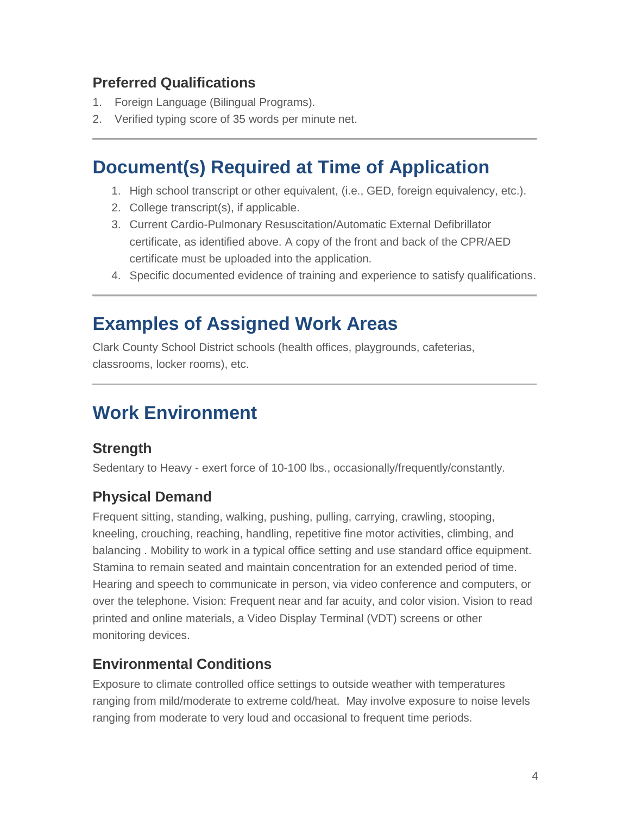#### **Preferred Qualifications**

- 1. Foreign Language (Bilingual Programs).
- 2. Verified typing score of 35 words per minute net.

### **Document(s) Required at Time of Application**

- 1. High school transcript or other equivalent, (i.e., GED, foreign equivalency, etc.).
- 2. College transcript(s), if applicable.
- 3. Current Cardio-Pulmonary Resuscitation/Automatic External Defibrillator certificate, as identified above. A copy of the front and back of the CPR/AED certificate must be uploaded into the application.
- 4. Specific documented evidence of training and experience to satisfy qualifications.

### **Examples of Assigned Work Areas**

Clark County School District schools (health offices, playgrounds, cafeterias, classrooms, locker rooms), etc.

### **Work Environment**

#### **Strength**

Sedentary to Heavy - exert force of 10-100 lbs., occasionally/frequently/constantly.

#### **Physical Demand**

Frequent sitting, standing, walking, pushing, pulling, carrying, crawling, stooping, kneeling, crouching, reaching, handling, repetitive fine motor activities, climbing, and balancing . Mobility to work in a typical office setting and use standard office equipment. Stamina to remain seated and maintain concentration for an extended period of time. Hearing and speech to communicate in person, via video conference and computers, or over the telephone. Vision: Frequent near and far acuity, and color vision. Vision to read printed and online materials, a Video Display Terminal (VDT) screens or other monitoring devices.

#### **Environmental Conditions**

Exposure to climate controlled office settings to outside weather with temperatures ranging from mild/moderate to extreme cold/heat. May involve exposure to noise levels ranging from moderate to very loud and occasional to frequent time periods.